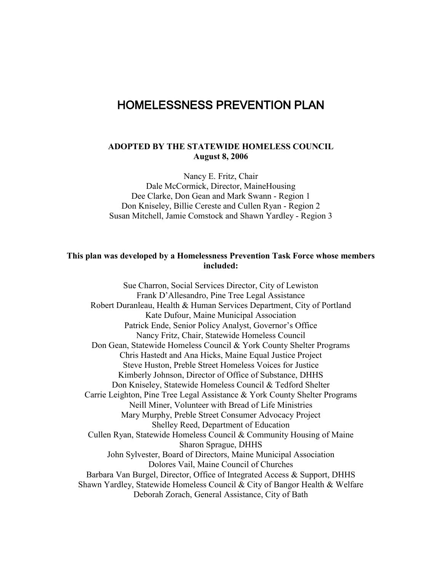# HOMELESSNESS PREVENTION PLAN

#### **ADOPTED BY THE STATEWIDE HOMELESS COUNCIL August 8, 2006**

Nancy E. Fritz, Chair Dale McCormick, Director, MaineHousing Dee Clarke, Don Gean and Mark Swann - Region 1 Don Kniseley, Billie Cereste and Cullen Ryan - Region 2 Susan Mitchell, Jamie Comstock and Shawn Yardley - Region 3

#### **This plan was developed by a Homelessness Prevention Task Force whose members included:**

Sue Charron, Social Services Director, City of Lewiston Frank D'Allesandro, Pine Tree Legal Assistance Robert Duranleau, Health & Human Services Department, City of Portland Kate Dufour, Maine Municipal Association Patrick Ende, Senior Policy Analyst, Governor's Office Nancy Fritz, Chair, Statewide Homeless Council Don Gean, Statewide Homeless Council & York County Shelter Programs Chris Hastedt and Ana Hicks, Maine Equal Justice Project Steve Huston, Preble Street Homeless Voices for Justice Kimberly Johnson, Director of Office of Substance, DHHS Don Kniseley, Statewide Homeless Council & Tedford Shelter Carrie Leighton, Pine Tree Legal Assistance & York County Shelter Programs Neill Miner, Volunteer with Bread of Life Ministries Mary Murphy, Preble Street Consumer Advocacy Project Shelley Reed, Department of Education Cullen Ryan, Statewide Homeless Council & Community Housing of Maine Sharon Sprague, DHHS John Sylvester, Board of Directors, Maine Municipal Association Dolores Vail, Maine Council of Churches Barbara Van Burgel, Director, Office of Integrated Access & Support, DHHS Shawn Yardley, Statewide Homeless Council & City of Bangor Health & Welfare Deborah Zorach, General Assistance, City of Bath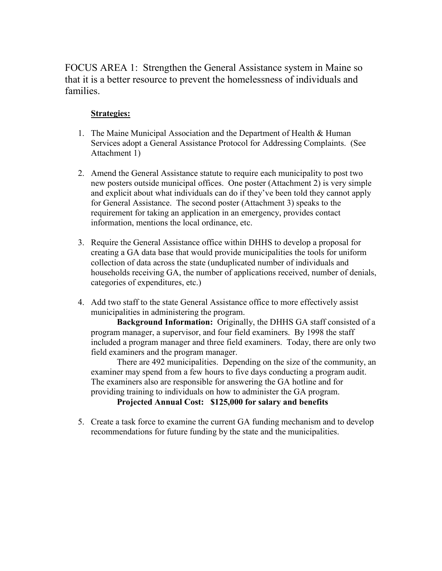FOCUS AREA 1: Strengthen the General Assistance system in Maine so that it is a better resource to prevent the homelessness of individuals and families.

### **Strategies:**

- 1. The Maine Municipal Association and the Department of Health & Human Services adopt a General Assistance Protocol for Addressing Complaints. (See Attachment 1)
- 2. Amend the General Assistance statute to require each municipality to post two new posters outside municipal offices. One poster (Attachment 2) is very simple and explicit about what individuals can do if they've been told they cannot apply for General Assistance. The second poster (Attachment 3) speaks to the requirement for taking an application in an emergency, provides contact information, mentions the local ordinance, etc.
- 3. Require the General Assistance office within DHHS to develop a proposal for creating a GA data base that would provide municipalities the tools for uniform collection of data across the state (unduplicated number of individuals and households receiving GA, the number of applications received, number of denials, categories of expenditures, etc.)
- 4. Add two staff to the state General Assistance office to more effectively assist municipalities in administering the program.

**Background Information:** Originally, the DHHS GA staff consisted of a program manager, a supervisor, and four field examiners. By 1998 the staff included a program manager and three field examiners. Today, there are only two field examiners and the program manager.

There are 492 municipalities. Depending on the size of the community, an examiner may spend from a few hours to five days conducting a program audit. The examiners also are responsible for answering the GA hotline and for providing training to individuals on how to administer the GA program.

### **Projected Annual Cost: \$125,000 for salary and benefits**

5. Create a task force to examine the current GA funding mechanism and to develop recommendations for future funding by the state and the municipalities.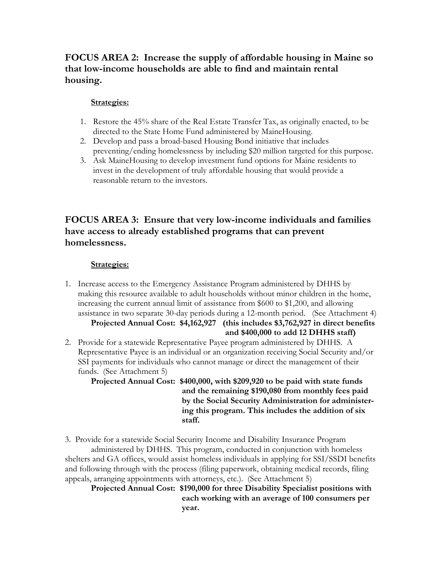# **FOCUS AREA 2: Increase the supply of affordable housing in Maine so that low-income households are able to find and maintain rental housing.**

#### **Strategies:**

- 1. Restore the 45% share of the Real Estate Transfer Tax, as originally enacted, to be directed to the State Home Fund administered by MaineHousing.
- 2. Develop and pass a broad-based Housing Bond initiative that includes preventing/ending homelessness by including \$20 million targeted for this purpose.
- 3. Ask MaineHousing to develop investment fund options for Maine residents to invest in the development of truly affordable housing that would provide a reasonable return to the investors.

# **FOCUS AREA 3: Ensure that very low-income individuals and families have access to already established programs that can prevent homelessness.**

### **Strategies:**

1. Increase access to the Emergency Assistance Program administered by DHHS by making this resource available to adult households without minor children in the home, increasing the current annual limit of assistance from \$600 to \$1,200, and allowing assistance in two separate 30-day periods during a 12-month period. (See Attachment 4)

# **Projected Annual Cost: \$4,162,927 (this includes \$3,762,927 in direct benefits and \$400,000 to add 12 DHHS staff)**

2. Provide for a statewide Representative Payee program administered by DHHS. A Representative Payee is an individual or an organization receiving Social Security and/or SSI payments for individuals who cannot manage or direct the management of their funds. (See Attachment 5)

**Projected Annual Cost: \$400,000, with \$209,920 to be paid with state funds and the remaining \$190,080 from monthly fees paid by the Social Security Administration for administer ing this program. This includes the addition of six staff.**

3. Provide for a statewide Social Security Income and Disability Insurance Program administered by DHHS. This program, conducted in conjunction with homeless shelters and GA offices, would assist homeless individuals in applying for SSI/SSDI benefits and following through with the process (filing paperwork, obtaining medical records, filing appeals, arranging appointments with attorneys, etc.). (See Attachment 5)

**Projected Annual Cost: \$190,000 for three Disability Specialist positions with each working with an average of 100 consumers per year.**